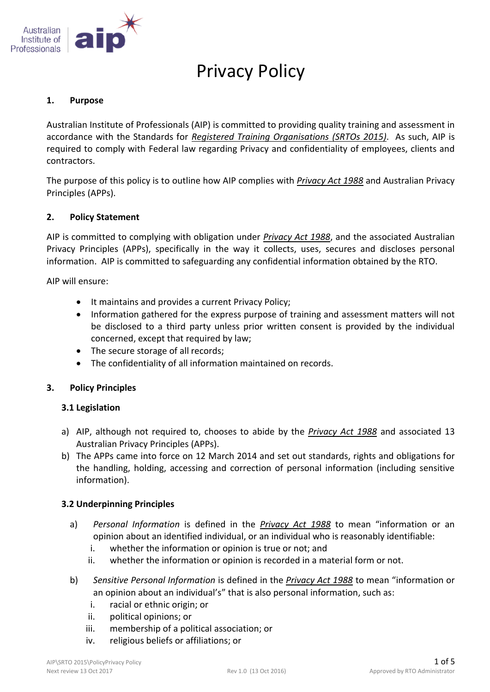

# Privacy Policy

#### **1. Purpose**

Australian Institute of Professionals (AIP) is committed to providing quality training and assessment in accordance with the Standards for *Registered Training Organisations (SRTOs 2015)*. As such, AIP is required to comply with Federal law regarding Privacy and confidentiality of employees, clients and contractors.

The purpose of this policy is to outline how AIP complies with *Privacy Act 1988* and Australian Privacy Principles (APPs).

## **2. Policy Statement**

AIP is committed to complying with obligation under *Privacy Act 1988*, and the associated Australian Privacy Principles (APPs), specifically in the way it collects, uses, secures and discloses personal information. AIP is committed to safeguarding any confidential information obtained by the RTO.

AIP will ensure:

- It maintains and provides a current Privacy Policy;
- Information gathered for the express purpose of training and assessment matters will not be disclosed to a third party unless prior written consent is provided by the individual concerned, except that required by law;
- The secure storage of all records;
- The confidentiality of all information maintained on records.

## **3. Policy Principles**

## **3.1 Legislation**

- a) AIP, although not required to, chooses to abide by the *Privacy Act 1988* and associated 13 Australian Privacy Principles (APPs).
- b) The APPs came into force on 12 March 2014 and set out standards, rights and obligations for the handling, holding, accessing and correction of personal information (including sensitive information).

## **3.2 Underpinning Principles**

- a) *Personal Information* is defined in the *Privacy Act 1988* to mean "information or an opinion about an identified individual, or an individual who is reasonably identifiable:
	- i. whether the information or opinion is true or not; and
	- ii. whether the information or opinion is recorded in a material form or not.
- b) *Sensitive Personal Information* is defined in the *Privacy Act 1988* to mean "information or an opinion about an individual's" that is also personal information, such as:
	- i. racial or ethnic origin; or
	- ii. political opinions; or
	- iii. membership of a political association; or
	- iv. religious beliefs or affiliations; or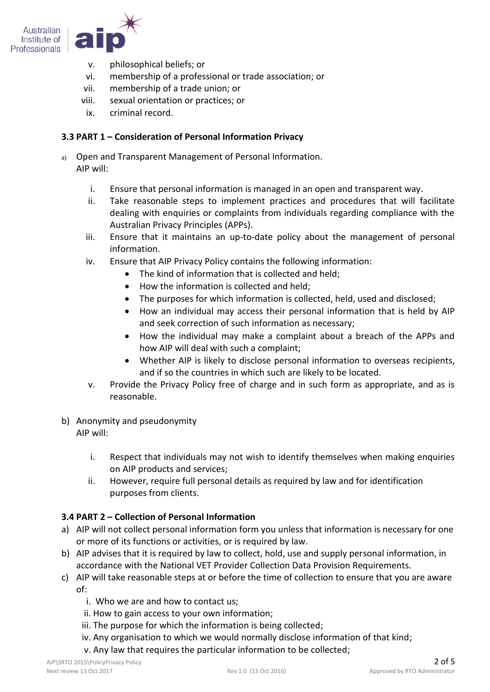

- v. philosophical beliefs; or
- vi. membership of a professional or trade association; or
- vii. membership of a trade union; or
- viii. sexual orientation or practices; or
- ix. criminal record.

## **3.3 PART 1 – Consideration of Personal Information Privacy**

- a) Open and Transparent Management of Personal Information. AIP will:
	- i. Ensure that personal information is managed in an open and transparent way.
	- ii. Take reasonable steps to implement practices and procedures that will facilitate dealing with enquiries or complaints from individuals regarding compliance with the Australian Privacy Principles (APPs).
	- iii. Ensure that it maintains an up-to-date policy about the management of personal information.
	- iv. Ensure that AIP Privacy Policy contains the following information:
		- The kind of information that is collected and held:
		- How the information is collected and held;
		- The purposes for which information is collected, held, used and disclosed;
		- How an individual may access their personal information that is held by AIP and seek correction of such information as necessary;
		- How the individual may make a complaint about a breach of the APPs and how AIP will deal with such a complaint;
		- Whether AIP is likely to disclose personal information to overseas recipients, and if so the countries in which such are likely to be located.
	- v. Provide the Privacy Policy free of charge and in such form as appropriate, and as is reasonable.
- b) Anonymity and pseudonymity AIP will:
	- i. Respect that individuals may not wish to identify themselves when making enquiries on AIP products and services;
	- ii. However, require full personal details as required by law and for identification purposes from clients.

# **3.4 PART 2 – Collection of Personal Information**

- a) AIP will not collect personal information form you unless that information is necessary for one or more of its functions or activities, or is required by law.
- b) AIP advises that it is required by law to collect, hold, use and supply personal information, in accordance with the National VET Provider Collection Data Provision Requirements.
- c) AIP will take reasonable steps at or before the time of collection to ensure that you are aware of:
	- i. Who we are and how to contact us;
	- ii. How to gain access to your own information;
	- iii. The purpose for which the information is being collected;
	- iv. Any organisation to which we would normally disclose information of that kind;
	- v. Any law that requires the particular information to be collected;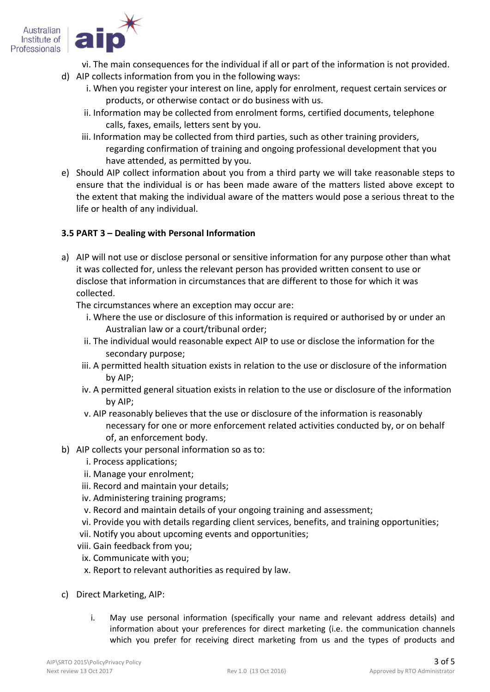

- vi. The main consequences for the individual if all or part of the information is not provided.
- d) AIP collects information from you in the following ways:
	- i. When you register your interest on line, apply for enrolment, request certain services or products, or otherwise contact or do business with us.
	- ii. Information may be collected from enrolment forms, certified documents, telephone calls, faxes, emails, letters sent by you.
	- iii. Information may be collected from third parties, such as other training providers, regarding confirmation of training and ongoing professional development that you have attended, as permitted by you.
- e) Should AIP collect information about you from a third party we will take reasonable steps to ensure that the individual is or has been made aware of the matters listed above except to the extent that making the individual aware of the matters would pose a serious threat to the life or health of any individual.

## **3.5 PART 3 – Dealing with Personal Information**

a) AIP will not use or disclose personal or sensitive information for any purpose other than what it was collected for, unless the relevant person has provided written consent to use or disclose that information in circumstances that are different to those for which it was collected.

The circumstances where an exception may occur are:

- i. Where the use or disclosure of this information is required or authorised by or under an Australian law or a court/tribunal order;
- ii. The individual would reasonable expect AIP to use or disclose the information for the secondary purpose;
- iii. A permitted health situation exists in relation to the use or disclosure of the information by AIP;
- iv. A permitted general situation exists in relation to the use or disclosure of the information by AIP;
- v. AIP reasonably believes that the use or disclosure of the information is reasonably necessary for one or more enforcement related activities conducted by, or on behalf of, an enforcement body.
- b) AIP collects your personal information so as to:
	- i. Process applications;
	- ii. Manage your enrolment;
	- iii. Record and maintain your details;
	- iv. Administering training programs;
	- v. Record and maintain details of your ongoing training and assessment;
	- vi. Provide you with details regarding client services, benefits, and training opportunities;
	- vii. Notify you about upcoming events and opportunities;
	- viii. Gain feedback from you;
	- ix. Communicate with you;
	- x. Report to relevant authorities as required by law.
- c) Direct Marketing, AIP:
	- i. May use personal information (specifically your name and relevant address details) and information about your preferences for direct marketing (i.e. the communication channels which you prefer for receiving direct marketing from us and the types of products and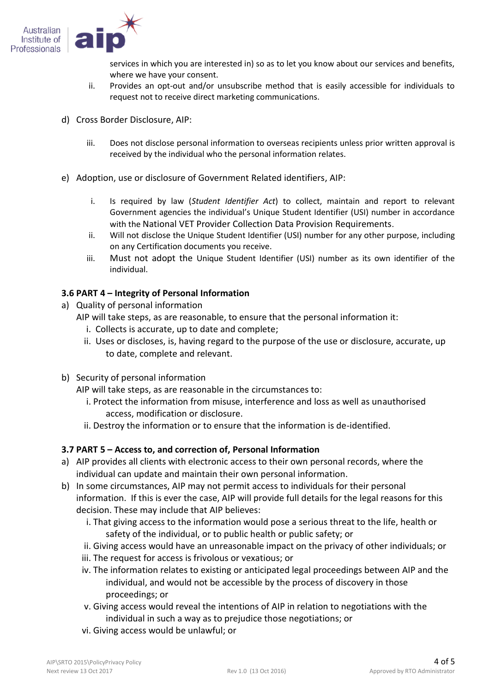

services in which you are interested in) so as to let you know about our services and benefits, where we have your consent.

- ii. Provides an opt-out and/or unsubscribe method that is easily accessible for individuals to request not to receive direct marketing communications.
- d) Cross Border Disclosure, AIP:
	- iii. Does not disclose personal information to overseas recipients unless prior written approval is received by the individual who the personal information relates.
- e) Adoption, use or disclosure of Government Related identifiers, AIP:
	- i. Is required by law (*Student Identifier Act*) to collect, maintain and report to relevant Government agencies the individual's Unique Student Identifier (USI) number in accordance with the National VET Provider Collection Data Provision Requirements.
	- ii. Will not disclose the Unique Student Identifier (USI) number for any other purpose, including on any Certification documents you receive.
	- iii. Must not adopt the Unique Student Identifier (USI) number as its own identifier of the individual.

## **3.6 PART 4 – Integrity of Personal Information**

- a) Quality of personal information
	- AIP will take steps, as are reasonable, to ensure that the personal information it:
		- i. Collects is accurate, up to date and complete;
		- ii. Uses or discloses, is, having regard to the purpose of the use or disclosure, accurate, up to date, complete and relevant.
- b) Security of personal information

AIP will take steps, as are reasonable in the circumstances to:

- i. Protect the information from misuse, interference and loss as well as unauthorised access, modification or disclosure.
- ii. Destroy the information or to ensure that the information is de-identified.

## **3.7 PART 5 – Access to, and correction of, Personal Information**

- a) AIP provides all clients with electronic access to their own personal records, where the individual can update and maintain their own personal information.
- b) In some circumstances, AIP may not permit access to individuals for their personal information. If this is ever the case, AIP will provide full details for the legal reasons for this decision. These may include that AIP believes:
	- i. That giving access to the information would pose a serious threat to the life, health or safety of the individual, or to public health or public safety; or
	- ii. Giving access would have an unreasonable impact on the privacy of other individuals; or
	- iii. The request for access is frivolous or vexatious; or
	- iv. The information relates to existing or anticipated legal proceedings between AIP and the individual, and would not be accessible by the process of discovery in those proceedings; or
	- v. Giving access would reveal the intentions of AIP in relation to negotiations with the individual in such a way as to prejudice those negotiations; or
	- vi. Giving access would be unlawful; or